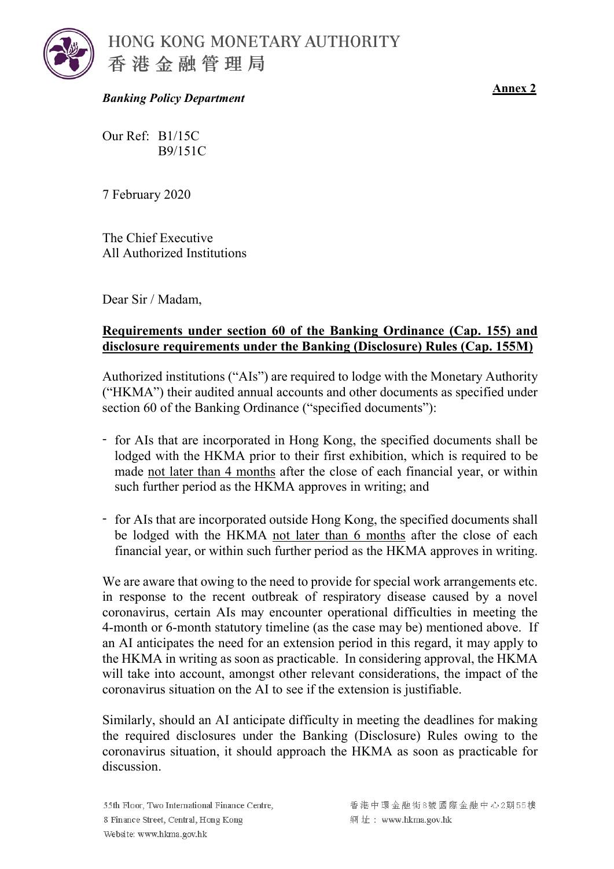

HONG KONG MONETARY AUTHORITY 香港金融管理局

*Banking Policy Department*

**Annex 2**

Our Ref: B1/15C B9/151C

7 February 2020

The Chief Executive All Authorized Institutions

Dear Sir / Madam,

## **Requirements under section 60 of the Banking Ordinance (Cap. 155) and disclosure requirements under the Banking (Disclosure) Rules (Cap. 155M)**

Authorized institutions ("AIs") are required to lodge with the Monetary Authority ("HKMA") their audited annual accounts and other documents as specified under section 60 of the Banking Ordinance ("specified documents"):

- for AIs that are incorporated in Hong Kong, the specified documents shall be lodged with the HKMA prior to their first exhibition, which is required to be made not later than 4 months after the close of each financial year, or within such further period as the HKMA approves in writing; and
- for AIs that are incorporated outside Hong Kong, the specified documents shall be lodged with the HKMA not later than 6 months after the close of each financial year, or within such further period as the HKMA approves in writing.

We are aware that owing to the need to provide for special work arrangements etc. in response to the recent outbreak of respiratory disease caused by a novel coronavirus, certain AIs may encounter operational difficulties in meeting the 4-month or 6-month statutory timeline (as the case may be) mentioned above. If an AI anticipates the need for an extension period in this regard, it may apply to the HKMA in writing as soon as practicable. In considering approval, the HKMA will take into account, amongst other relevant considerations, the impact of the coronavirus situation on the AI to see if the extension is justifiable.

Similarly, should an AI anticipate difficulty in meeting the deadlines for making the required disclosures under the Banking (Disclosure) Rules owing to the coronavirus situation, it should approach the HKMA as soon as practicable for discussion.